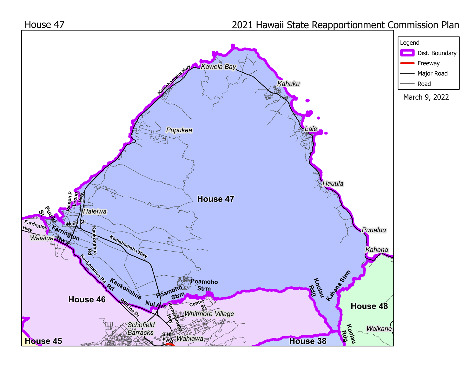